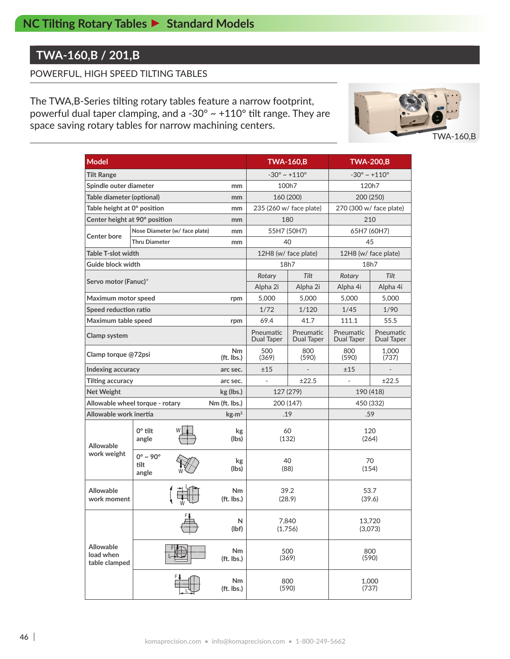### **TWA-160,B / 201,B**

#### POWERFUL, HIGH SPEED TILTING TABLES

The TWA,B-Series tilting rotary tables feature a narrow footprint, powerful dual taper clamping, and a -30° ~ +110° tilt range. They are space saving rotary tables for narrow machining centers.



| <b>Model</b>                                         |                                          |                               |                         |              |                                 |                                                                                                               |                         |  |  |  |
|------------------------------------------------------|------------------------------------------|-------------------------------|-------------------------|--------------|---------------------------------|---------------------------------------------------------------------------------------------------------------|-------------------------|--|--|--|
|                                                      |                                          |                               |                         |              | <b>TWA-160,B</b>                | <b>TWA-200,B</b>                                                                                              |                         |  |  |  |
| <b>Tilt Range</b>                                    |                                          |                               |                         |              | $-30^{\circ} \sim +110^{\circ}$ | $-30^{\circ} \sim +110^{\circ}$                                                                               |                         |  |  |  |
| Spindle outer diameter                               |                                          |                               | mm                      |              | 100h7                           | 120h7                                                                                                         |                         |  |  |  |
| Table diameter (optional)                            |                                          |                               | mm                      |              | 160 (200)                       | 200 (250)                                                                                                     |                         |  |  |  |
| Table height at 0° position                          |                                          |                               | mm                      |              | 235 (260 w/ face plate)         | 270 (300 w/ face plate)                                                                                       |                         |  |  |  |
| Center height at 90° position                        |                                          |                               | mm                      |              | 180                             | 210                                                                                                           |                         |  |  |  |
| Center bore                                          |                                          | Nose Diameter (w/ face plate) | mm                      |              | 55H7 (50H7)                     | 65H7 (60H7)                                                                                                   |                         |  |  |  |
|                                                      | <b>Thru Diameter</b>                     |                               | mm                      |              | 40                              | 45                                                                                                            |                         |  |  |  |
| <b>Table T-slot width</b>                            |                                          |                               |                         |              | 12H8 (w/ face plate)            | 12H8 (w/ face plate)                                                                                          |                         |  |  |  |
| Guide block width                                    |                                          |                               |                         |              | 18h7                            | 18h7                                                                                                          |                         |  |  |  |
|                                                      | Servo motor (Fanuc)*                     |                               | Rotary                  | Tilt         | Rotary                          | Tilt                                                                                                          |                         |  |  |  |
|                                                      |                                          |                               |                         | Alpha 2i     | Alpha 2i                        | Alpha 4i<br>5,000<br>1/45<br>1/90<br>55.5<br>111.1<br>Pneumatic<br>Dual Taper<br>800<br>(590)<br>(737)<br>±15 | Alpha 4i                |  |  |  |
| Maximum motor speed                                  |                                          |                               | rpm                     | 5,000        | 5,000                           |                                                                                                               | 5,000                   |  |  |  |
| Speed reduction ratio                                |                                          |                               |                         | 1/72         | 1/120                           |                                                                                                               |                         |  |  |  |
| Maximum table speed<br>rpm                           |                                          |                               |                         | 69.4         | 41.7                            |                                                                                                               |                         |  |  |  |
| Clamp system                                         |                                          |                               |                         |              | Pneumatic<br>Dual Taper         |                                                                                                               | Pneumatic<br>Dual Taper |  |  |  |
| Nm<br>Clamp torque @72psi<br>(ft. lbs.)              |                                          |                               |                         | 500<br>(369) | 800<br>(590)                    |                                                                                                               | 1,000                   |  |  |  |
| Indexing accuracy                                    |                                          |                               | arc sec.                | ±15          |                                 |                                                                                                               |                         |  |  |  |
| Tilting accuracy<br>arc sec.                         |                                          |                               |                         |              | ±22.5                           |                                                                                                               | ±22.5                   |  |  |  |
| Net Weight                                           |                                          |                               | kg (lbs.)               |              | 127 (279)                       | 190 (418)                                                                                                     |                         |  |  |  |
| Allowable wheel torque - rotary                      |                                          |                               | Nm (ft. lbs.)           |              | 200 (147)                       | 450 (332)                                                                                                     |                         |  |  |  |
| Allowable work inertia<br>$\text{kg}\cdot\text{m}^2$ |                                          |                               |                         |              | .19                             | .59                                                                                                           |                         |  |  |  |
| <b>Allowable</b><br>work weight                      | $0^\circ$ tilt<br>angle                  |                               | kg<br>(lbs)             |              | 60<br>(132)                     | 120<br>(264)                                                                                                  |                         |  |  |  |
|                                                      | $0^\circ \sim 90^\circ$<br>tilt<br>angle |                               | kg<br>(lbs)             |              | 40<br>(88)                      | 70<br>(154)                                                                                                   |                         |  |  |  |
| <b>Allowable</b><br>work moment                      |                                          |                               | Nm<br>(ft. lbs.)        |              | 39.2<br>(28.9)                  | 53.7<br>(39.6)                                                                                                |                         |  |  |  |
|                                                      | FI<br>N<br>(lbf)                         |                               |                         |              | 7,840<br>(1,756)                | 13,720<br>(3,073)                                                                                             |                         |  |  |  |
| Allowable<br>load when<br>table clamped              |                                          |                               | <b>Nm</b><br>(ft. lbs.) |              | 500<br>(369)                    | 800<br>(590)                                                                                                  |                         |  |  |  |
|                                                      |                                          |                               | <b>Nm</b><br>(ft. lbs.) |              | 800<br>(590)                    | 1,000<br>(737)                                                                                                |                         |  |  |  |